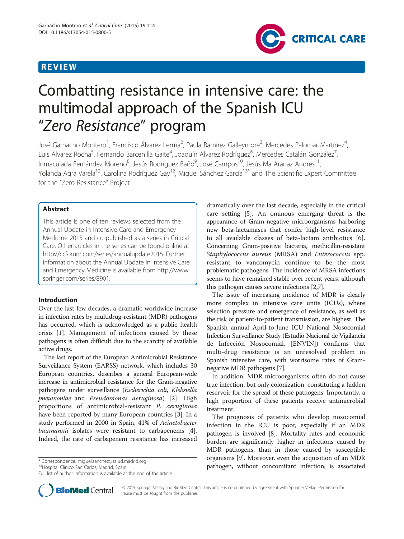# REVIEW



# Combatting resistance in intensive care: the multimodal approach of the Spanish ICU "Zero Resistance" program

José Garnacho Montero<sup>1</sup>, Francisco Álvarez Lerma<sup>2</sup>, Paula Ramírez Galleymore<sup>3</sup>, Mercedes Palomar Martínez<sup>4</sup> , Luis Álvarez Rocha<sup>5</sup>, Fernando Barcenilla Gaite<sup>4</sup>, Joaquín Álvarez Rodríguez<sup>6</sup>, Mercedes Catalán González<sup>7</sup> , Inmaculada Fernández Moreno<sup>8</sup>, Jesús Rodríguez Baño<sup>9</sup>, José Campos<sup>10</sup>, Jesús Ma Aranaz Andrés<sup>11</sup>, Yolanda Agra Varela<sup>12</sup>, Carolina Rodríguez Gay<sup>12</sup>, Miguel Sánchez García<sup>13\*</sup> and The Scientific Expert Committee for the "Zero Resistance" Project

# Abstract

This article is one of ten reviews selected from the Annual Update in Intensive Care and Emergency Medicine 2015 and co-published as a series in Critical Care. Other articles in the series can be found online at <http://ccforum.com/series/annualupdate2015>. Further information about the Annual Update in Intensive Care and Emergency Medicine is available from [http://www.](http://www.springer.com/series/8901) [springer.com/series/8901](http://www.springer.com/series/8901).

# Introduction

Over the last few decades, a dramatic worldwide increase in infection rates by multidrug-resistant (MDR) pathogens has occurred, which is acknowledged as a public health crisis [\[1](#page-6-0)]. Management of infections caused by these pathogens is often difficult due to the scarcity of available active drugs.

The last report of the European Antimicrobial Resistance Surveillance System (EARSS) network, which includes 30 European countries, describes a general European-wide increase in antimicrobial resistance for the Gram-negative pathogens under surveillance (Escherichia coli, Klebsiella pneumoniae and Pseudomonas aeruginosa) [[2](#page-6-0)]. High proportions of antimicrobial-resistant P. aeruginosa have been reported by many European countries [\[3\]](#page-6-0). In a study performed in 2000 in Spain, 41% of Acinetobacter baumannii isolates were resistant to carbapenems [[4](#page-6-0)]. Indeed, the rate of carbapenem resistance has increased

Full list of author information is available at the end of the article



dramatically over the last decade, especially in the critical care setting [[5](#page-6-0)]. An ominous emerging threat is the appearance of Gram-negative microorganisms harboring new beta-lactamases that confer high-level resistance to all available classes of beta-lactam antibiotics [\[6](#page-6-0)]. Concerning Gram-positive bacteria, methicillin-resistant Staphylococcus aureus (MRSA) and Enterococcus spp. resistant to vancomycin continue to be the most problematic pathogens. The incidence of MRSA infections seems to have remained stable over recent years, although this pathogen causes severe infections [[2](#page-6-0),[7](#page-6-0)].

The issue of increasing incidence of MDR is clearly more complex in intensive care units (ICUs), where selection pressure and emergence of resistance, as well as the risk of patient-to-patient transmission, are highest. The Spanish annual April-to-June ICU National Nosocomial Infection Surveillance Study (Estudio Nacional de Vigilancia de Infección Nosocomial, [ENVIN]) confirms that multi-drug resistance is an unresolved problem in Spanish intensive care, with worrisome rates of Gramnegative MDR pathogens [\[7](#page-6-0)].

In addition, MDR microorganisms often do not cause true infection, but only colonization, constituting a hidden reservoir for the spread of these pathogens. Importantly, a high proportion of these patients receive antimicrobial treatment.

The prognosis of patients who develop nosocomial infection in the ICU is poor, especially if an MDR pathogen is involved [\[8\]](#page-6-0). Mortality rates and economic burden are significantly higher in infections caused by MDR pathogens, than in those caused by susceptible organisms [[9\]](#page-6-0). Moreover, even the acquisition of an MDR pathogen, without concomitant infection, is associated \* Correspondence: [miguel.sanchez@salud.madrid.org](mailto:miguel.sanchez@salud.madrid.org) 13Hospital Clínico San Carlos, Madrid, Spain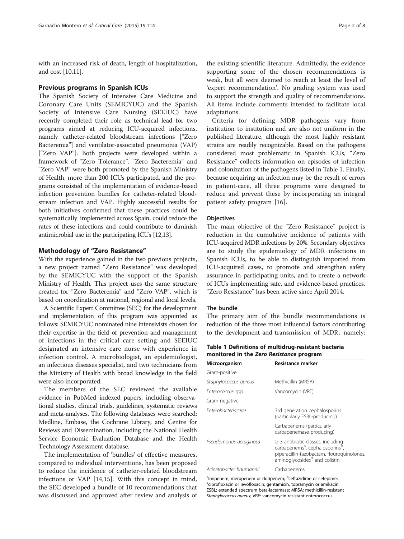with an increased risk of death, length of hospitalization, and cost [\[10,11](#page-6-0)].

## Previous programs in Spanish ICUs

The Spanish Society of Intensive Care Medicine and Coronary Care Units (SEMICYUC) and the Spanish Society of Intensive Care Nursing (SEEIUC) have recently completed their role as technical lead for two programs aimed at reducing ICU-acquired infections, namely catheter-related bloodstream infections ["Zero Bacteremia"] and ventilator-associated pneumonia (VAP) ["Zero VAP"]. Both projects were developed within a framework of "Zero Tolerance". "Zero Bacteremia" and "Zero VAP" were both promoted by the Spanish Ministry of Health, more than 200 ICUs participated, and the programs consisted of the implementation of evidence-based infection prevention bundles for catheter-related bloodstream infection and VAP. Highly successful results for both initiatives confirmed that these practices could be systematically implemented across Spain, could reduce the rates of these infections and could contribute to diminish antimicrobial use in the participating ICUs [\[12,13](#page-6-0)].

## Methodology of "Zero Resistance"

With the experience gained in the two previous projects, a new project named "Zero Resistance" was developed by the SEMICYUC with the support of the Spanish Ministry of Health. This project uses the same structure created for "Zero Bacteremia" and "Zero VAP", which is based on coordination at national, regional and local levels.

A Scientific Expert Committee (SEC) for the development and implementation of this program was appointed as follows: SEMICYUC nominated nine intensivists chosen for their expertise in the field of prevention and management of infections in the critical care setting and SEEIUC designated an intensive care nurse with experience in infection control. A microbiologist, an epidemiologist, an infectious diseases specialist, and two technicians from the Ministry of Health with broad knowledge in the field were also incorporated.

The members of the SEC reviewed the available evidence in PubMed indexed papers, including observational studies, clinical trials, guidelines, systematic reviews and meta-analyses. The following databases were searched: Medline, Embase, the Cochrane Library, and Centre for Reviews and Dissemination, including the National Health Service Economic Evaluation Database and the Health Technology Assessment database.

The implementation of 'bundles' of effective measures, compared to individual interventions, has been proposed to reduce the incidence of catheter-related bloodstream infections or VAP [[14,15\]](#page-6-0). With this concept in mind, the SEC developed a bundle of 10 recommendations that was discussed and approved after review and analysis of the existing scientific literature. Admittedly, the evidence supporting some of the chosen recommendations is weak, but all were deemed to reach at least the level of 'expert recommendation'. No grading system was used to support the strength and quality of recommendations. All items include comments intended to facilitate local adaptations.

Criteria for defining MDR pathogens vary from institution to institution and are also not uniform in the published literature, although the most highly resistant strains are readily recognizable. Based on the pathogens considered most problematic in Spanish ICUs, "Zero Resistance" collects information on episodes of infection and colonization of the pathogens listed in Table 1. Finally, because acquiring an infection may be the result of errors in patient-care, all three programs were designed to reduce and prevent these by incorporating an integral patient safety program [[16\]](#page-6-0).

## **Objectives**

The main objective of the "Zero Resistance" project is reduction in the cumulative incidence of patients with ICU-acquired MDR infections by 20%. Secondary objectives are to study the epidemiology of MDR infections in Spanish ICUs, to be able to distinguish imported from ICU-acquired cases, to promote and strengthen safety assurance in participating units, and to create a network of ICUs implementing safe, and evidence-based practices. "Zero Resistance" has been active since April 2014.

# The bundle

The primary aim of the bundle recommendations is reduction of the three most influential factors contributing to the development and transmission of MDR, namely:

Table 1 Definitions of multidrug-resistant bacteria monitored in the Zero Resistance program

| Microorganism           | <b>Resistance marker</b>                                                                                                                                                                      |
|-------------------------|-----------------------------------------------------------------------------------------------------------------------------------------------------------------------------------------------|
| Gram-positive           |                                                                                                                                                                                               |
| Staphylococcus aureus   | Methicillin (MRSA)                                                                                                                                                                            |
| Enterococcus spp.       | Vancomycin (VRE)                                                                                                                                                                              |
| Gram-negative           |                                                                                                                                                                                               |
| Fnterobacteriaceae      | 3rd generation cephalosporins<br>(particularly ESBL-producing)                                                                                                                                |
|                         | Carbapenems (particularly<br>carbapenemase-producing)                                                                                                                                         |
| Pseudomonas aeruginosa  | $\geq$ 3 antibiotic classes, including<br>carbapenems <sup>a</sup> , cephalosporins <sup>b</sup> ,<br>piperacillin-tazobactam, flouroquinolones,<br>aminoglycosides <sup>d</sup> and colistin |
| Acinetobacter baumannii | Carbapenems                                                                                                                                                                                   |

<sup>a</sup>lmipenem, meropenem or doripenem; <sup>b</sup>ceftazidime or cefepime;<br>Sciprofloxacin or levefloxacin; gentamicin, tobramycin or amikacin <sup>c</sup>ciprofloxacin or levofloxacin; gentamicin, tobramycin or amikacin ESBL: extended spectrum beta-lactamase; MRSA: methicillin-resistant Staphylococcus aureus; VRE: vancomycin-resistant enterococcus.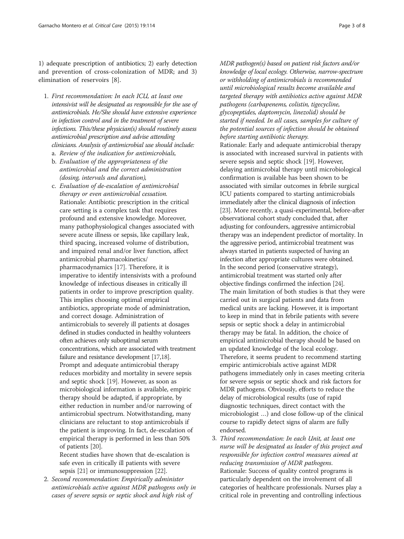1) adequate prescription of antibiotics; 2) early detection and prevention of cross-colonization of MDR; and 3) elimination of reservoirs [[8\]](#page-6-0).

- 1. First recommendation: In each ICU, at least one intensivist will be designated as responsible for the use of antimicrobials. He/She should have extensive experience in infection control and in the treatment of severe infections. This/these physician(s) should routinely assess antimicrobial prescription and advise attending clinicians. Analysis of antimicrobial use should include:
	- a. Review of the indication for antimicrobials,
	- b. Evaluation of the appropriateness of the antimicrobial and the correct administration (dosing, intervals and duration),
	- c. Evaluation of de-escalation of antimicrobial therapy or even antimicrobial cessation. Rationale: Antibiotic prescription in the critical care setting is a complex task that requires profound and extensive knowledge. Moreover, many pathophysiological changes associated with severe acute illness or sepsis, like capillary leak, third spacing, increased volume of distribution, and impaired renal and/or liver function, affect antimicrobial pharmacokinetics/ pharmacodynamics [[17\]](#page-6-0). Therefore, it is imperative to identify intensivists with a profound knowledge of infectious diseases in critically ill patients in order to improve prescription quality. This implies choosing optimal empirical antibiotics, appropriate mode of administration, and correct dosage. Administration of antimicrobials to severely ill patients at dosages defined in studies conducted in healthy volunteers often achieves only suboptimal serum concentrations, which are associated with treatment failure and resistance development [\[17,18\]](#page-6-0). Prompt and adequate antimicrobial therapy reduces morbidity and mortality in severe sepsis and septic shock [[19](#page-6-0)]. However, as soon as microbiological information is available, empiric therapy should be adapted, if appropriate, by either reduction in number and/or narrowing of antimicrobial spectrum. Notwithstanding, many clinicians are reluctant to stop antimicrobials if the patient is improving. In fact, de-escalation of empirical therapy is performed in less than 50% of patients [\[20\]](#page-6-0).

Recent studies have shown that de-escalation is safe even in critically ill patients with severe sepsis [[21\]](#page-6-0) or immunosuppression [[22](#page-6-0)].

2. Second recommendation: Empirically administer antimicrobials active against MDR pathogens only in cases of severe sepsis or septic shock and high risk of

MDR pathogen(s) based on patient risk factors and/or knowledge of local ecology. Otherwise, narrow-spectrum or withholding of antimicrobials is recommended until microbiological results become available and targeted therapy with antibiotics active against MDR pathogens (carbapenems, colistin, tigecycline, glycopeptides, daptomycin, linezolid) should be started if needed. In all cases, samples for culture of the potential sources of infection should be obtained before starting antibiotic therapy.

Rationale: Early and adequate antimicrobial therapy is associated with increased survival in patients with severe sepsis and septic shock [[19\]](#page-6-0). However, delaying antimicrobial therapy until microbiological confirmation is available has been shown to be associated with similar outcomes in febrile surgical ICU patients compared to starting antimicrobials immediately after the clinical diagnosis of infection [\[23\]](#page-6-0). More recently, a quasi-experimental, before-after observational cohort study concluded that, after adjusting for confounders, aggressive antimicrobial therapy was an independent predictor of mortality. In the aggressive period, antimicrobial treatment was always started in patients suspected of having an infection after appropriate cultures were obtained. In the second period (conservative strategy), antimicrobial treatment was started only after objective findings confirmed the infection [[24](#page-6-0)]. The main limitation of both studies is that they were carried out in surgical patients and data from medical units are lacking. However, it is important to keep in mind that in febrile patients with severe sepsis or septic shock a delay in antimicrobial therapy may be fatal. In addition, the choice of empirical antimicrobial therapy should be based on an updated knowledge of the local ecology. Therefore, it seems prudent to recommend starting empiric antimicrobials active against MDR pathogens immediately only in cases meeting criteria for severe sepsis or septic shock and risk factors for MDR pathogens. Obviously, efforts to reduce the delay of microbiological results (use of rapid diagnostic techniques, direct contact with the microbiologist …) and close follow-up of the clinical course to rapidly detect signs of alarm are fully endorsed.

3. Third recommendation: In each Unit, at least one nurse will be designated as leader of this project and responsible for infection control measures aimed at reducing transmission of MDR pathogens. Rationale: Success of quality control programs is particularly dependent on the involvement of all categories of healthcare professionals. Nurses play a critical role in preventing and controlling infectious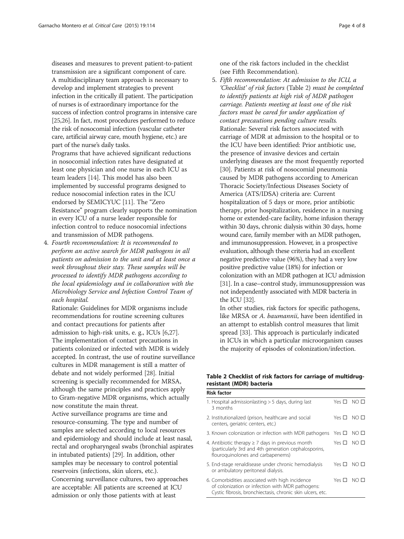<span id="page-3-0"></span>diseases and measures to prevent patient-to-patient transmission are a significant component of care. A multidisciplinary team approach is necessary to develop and implement strategies to prevent infection in the critically ill patient. The participation of nurses is of extraordinary importance for the success of infection control programs in intensive care [\[25,26](#page-6-0)]. In fact, most procedures performed to reduce the risk of nosocomial infection (vascular catheter care, artificial airway care, mouth hygiene, etc.) are part of the nurse's daily tasks. Programs that have achieved significant reductions in nosocomial infection rates have designated at least one physician and one nurse in each ICU as team leaders [[14\]](#page-6-0). This model has also been implemented by successful programs designed to reduce nosocomial infection rates in the ICU endorsed by SEMICYUC [[11](#page-6-0)]. The "Zero Resistance" program clearly supports the nomination in every ICU of a nurse leader responsible for infection control to reduce nosocomial infections and transmission of MDR pathogens.

4. Fourth recommendation: It is recommended to perform an active search for MDR pathogens in all patients on admission to the unit and at least once a week throughout their stay. These samples will be processed to identify MDR pathogens according to the local epidemiology and in collaboration with the Microbiology Service and Infection Control Team of each hospital.

Rationale: Guidelines for MDR organisms include recommendations for routine screening cultures and contact precautions for patients after admission to high-risk units, e. g., ICUs [\[6,27](#page-6-0)]. The implementation of contact precautions in patients colonized or infected with MDR is widely accepted. In contrast, the use of routine surveillance cultures in MDR management is still a matter of debate and not widely performed [\[28\]](#page-6-0). Initial screening is specially recommended for MRSA, although the same principles and practices apply to Gram-negative MDR organisms, which actually now constitute the main threat.

Active surveillance programs are time and resource-consuming. The type and number of samples are selected according to local resources and epidemiology and should include at least nasal, rectal and oropharyngeal swabs (bronchial aspirates in intubated patients) [[29](#page-7-0)]. In addition, other samples may be necessary to control potential reservoirs (infections, skin ulcers, etc.). Concerning surveillance cultures, two approaches are acceptable: All patients are screened at ICU admission or only those patients with at least

one of the risk factors included in the checklist (see Fifth Recommendation).

5. Fifth recommendation: At admission to the ICU, a 'Checklist' of risk factors (Table 2) must be completed to identify patients at high risk of MDR pathogen carriage. Patients meeting at least one of the risk factors must be cared for under application of contact precautions pending culture results. Rationale: Several risk factors associated with carriage of MDR at admission to the hospital or to the ICU have been identified: Prior antibiotic use, the presence of invasive devices and certain underlying diseases are the most frequently reported [[30](#page-7-0)]. Patients at risk of nosocomial pneumonia caused by MDR pathogens according to American Thoracic Society/Infectious Diseases Society of America (ATS/IDSA) criteria are: Current hospitalization of 5 days or more, prior antibiotic therapy, prior hospitalization, residence in a nursing home or extended-care facility, home infusion therapy within 30 days, chronic dialysis within 30 days, home wound care, family member with an MDR pathogen, and immunosuppression. However, in a prospective evaluation, although these criteria had an excellent negative predictive value (96%), they had a very low positive predictive value (18%) for infection or colonization with an MDR pathogen at ICU admission [\[31\]](#page-7-0). In a case–control study, immunosuppression was not independently associated with MDR bacteria in the ICU [\[32](#page-7-0)].

In other studies, risk factors for specific pathogens, like MRSA or A. baumannii, have been identified in an attempt to establish control measures that limit spread [[33](#page-7-0)]. This approach is particularly indicated in ICUs in which a particular microorganism causes the majority of episodes of colonization/infection.

# Table 2 Checklist of risk factors for carriage of multidrugresistant (MDR) bacteria

 $\overline{\phantom{a}}$ 

| RISK TACTOR                                                                                                                                                       |               |                  |
|-------------------------------------------------------------------------------------------------------------------------------------------------------------------|---------------|------------------|
| 1. Hospital admissionlasting $>$ 5 days, during last<br>3 months                                                                                                  | Yes $\square$ | NO <sub>1</sub>  |
| 2. Institutionalized (prison, healthcare and social<br>centers, geriatric centers, etc.)                                                                          | Yes $\square$ | NO <sub>II</sub> |
| 3. Known colonization or infection with MDR pathogens                                                                                                             | Yes $\square$ | NO O             |
| 4. Antibiotic therapy $\geq 7$ days in previous month<br>(particularly 3rd and 4th generation cephalosporins,<br>flouroquinolones and carbapenems)                |               | NO O             |
| 5. End-stage renaldisease under chronic hemodialysis<br>or ambulatory peritoneal dialysis.                                                                        | Yes □         | NO LI            |
| 6. Comorbidities associated with high incidence<br>of colonization or infection with MDR pathogens:<br>Cystic fibrosis, bronchiectasis, chronic skin ulcers, etc. | Yes □         | NO EI            |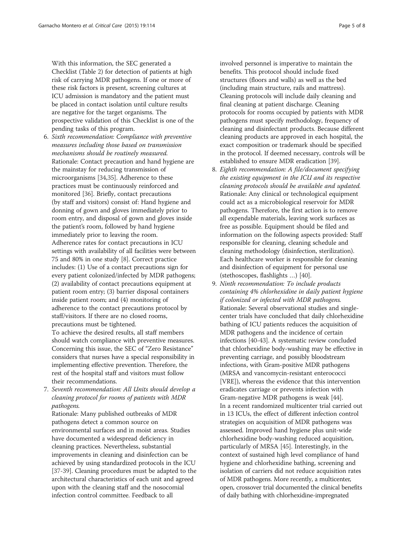With this information, the SEC generated a Checklist (Table [2](#page-3-0)) for detection of patients at high risk of carrying MDR pathogens. If one or more of these risk factors is present, screening cultures at ICU admission is mandatory and the patient must be placed in contact isolation until culture results are negative for the target organisms. The prospective validation of this Checklist is one of the pending tasks of this program.

6. Sixth recommendation: Compliance with preventive measures including those based on transmission mechanisms should be routinely measured. Rationale: Contact precaution and hand hygiene are the mainstay for reducing transmission of microorganisms [[34](#page-7-0),[35](#page-7-0)]. Adherence to these practices must be continuously reinforced and monitored [[36](#page-7-0)]. Briefly, contact precautions (by staff and visitors) consist of: Hand hygiene and donning of gown and gloves immediately prior to room entry, and disposal of gown and gloves inside the patient's room, followed by hand hygiene immediately prior to leaving the room. Adherence rates for contact precautions in ICU settings with availability of all facilities were between 75 and 80% in one study [[8](#page-6-0)]. Correct practice includes: (1) Use of a contact precautions sign for every patient colonized/infected by MDR pathogens; (2) availability of contact precautions equipment at patient room entry; (3) barrier disposal containers inside patient room; and (4) monitoring of adherence to the contact precautions protocol by staff/visitors. If there are no closed rooms, precautions must be tightened.

To achieve the desired results, all staff members should watch compliance with preventive measures. Concerning this issue, the SEC of "Zero Resistance" considers that nurses have a special responsibility in implementing effective prevention. Therefore, the rest of the hospital staff and visitors must follow their recommendations.

7. Seventh recommendation: All Units should develop a cleaning protocol for rooms of patients with MDR pathogens.

Rationale: Many published outbreaks of MDR pathogens detect a common source on environmental surfaces and in moist areas. Studies have documented a widespread deficiency in cleaning practices. Nevertheless, substantial improvements in cleaning and disinfection can be achieved by using standardized protocols in the ICU [\[37](#page-7-0)-[39](#page-7-0)]. Cleaning procedures must be adapted to the architectural characteristics of each unit and agreed upon with the cleaning staff and the nosocomial infection control committee. Feedback to all

involved personnel is imperative to maintain the benefits. This protocol should include fixed structures (floors and walls) as well as the bed (including main structure, rails and mattress). Cleaning protocols will include daily cleaning and final cleaning at patient discharge. Cleaning protocols for rooms occupied by patients with MDR pathogens must specify methodology, frequency of cleaning and disinfectant products. Because different cleaning products are approved in each hospital, the exact composition or trademark should be specified in the protocol. If deemed necessary, controls will be established to ensure MDR eradication [\[39\]](#page-7-0).

- 8. Eighth recommendation: A file/document specifying the existing equipment in the ICU and its respective cleaning protocols should be available and updated. Rationale: Any clinical or technological equipment could act as a microbiological reservoir for MDR pathogens. Therefore, the first action is to remove all expendable materials, leaving work surfaces as free as possible. Equipment should be filed and information on the following aspects provided: Staff responsible for cleaning, cleaning schedule and cleaning methodology (disinfection, sterilization). Each healthcare worker is responsible for cleaning and disinfection of equipment for personal use (stethoscopes, flashlights …) [[40](#page-7-0)].
- 9. Ninth recommendation: To include products containing 4% chlorhexidine in daily patient hygiene if colonized or infected with MDR pathogens. Rationale: Several observational studies and singlecenter trials have concluded that daily chlorhexidine bathing of ICU patients reduces the acquisition of MDR pathogens and the incidence of certain infections [\[40-43](#page-7-0)]. A systematic review concluded that chlorhexidine body-washing may be effective in preventing carriage, and possibly bloodstream infections, with Gram-positive MDR pathogens (MRSA and vancomycin-resistant enterococci [VRE]), whereas the evidence that this intervention eradicates carriage or prevents infection with Gram-negative MDR pathogens is weak [\[44\]](#page-7-0). In a recent randomized multicenter trial carried out in 13 ICUs, the effect of different infection control strategies on acquisition of MDR pathogens was assessed. Improved hand hygiene plus unit-wide chlorhexidine body-washing reduced acquisition, particularly of MRSA [[45](#page-7-0)]. Interestingly, in the context of sustained high level compliance of hand hygiene and chlorhexidine bathing, screening and isolation of carriers did not reduce acquisition rates of MDR pathogens. More recently, a multicenter, open, crossover trial documented the clinical benefits of daily bathing with chlorhexidine-impregnated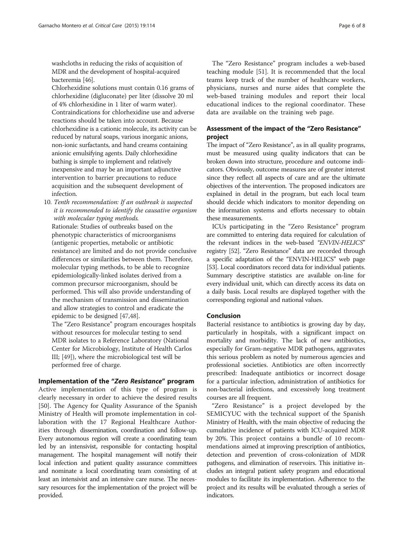washcloths in reducing the risks of acquisition of MDR and the development of hospital-acquired bacteremia [\[46\]](#page-7-0).

Chlorhexidine solutions must contain 0.16 grams of chlorhexidine (digluconate) per liter (dissolve 20 ml of 4% chlorhexidine in 1 liter of warm water). Contraindications for chlorhexidine use and adverse reactions should be taken into account. Because chlorhexidine is a cationic molecule, its activity can be reduced by natural soaps, various inorganic anions, non-ionic surfactants, and hand creams containing anionic emulsifying agents. Daily chlorhexidine bathing is simple to implement and relatively inexpensive and may be an important adjunctive intervention to barrier precautions to reduce acquisition and the subsequent development of infection.

10. Tenth recommendation: If an outbreak is suspected it is recommended to identify the causative organism with molecular typing methods.

Rationale: Studies of outbreaks based on the phenotypic characteristics of microorganisms (antigenic properties, metabolic or antibiotic resistance) are limited and do not provide conclusive differences or similarities between them. Therefore, molecular typing methods, to be able to recognize epidemiologically-linked isolates derived from a common precursor microorganism, should be performed. This will also provide understanding of the mechanism of transmission and dissemination and allow strategies to control and eradicate the epidemic to be designed [[47](#page-7-0),[48](#page-7-0)].

The "Zero Resistance" program encourages hospitals without resources for molecular testing to send MDR isolates to a Reference Laboratory (National Center for Microbiology, Institute of Health Carlos III; [\[49\]](#page-7-0)), where the microbiological test will be performed free of charge.

# Implementation of the "Zero Resistance" program

Active implementation of this type of program is clearly necessary in order to achieve the desired results [[50\]](#page-7-0). The Agency for Quality Assurance of the Spanish Ministry of Health will promote implementation in collaboration with the 17 Regional Healthcare Authorities through dissemination, coordination and follow-up. Every autonomous region will create a coordinating team led by an intensivist, responsible for contacting hospital management. The hospital management will notify their local infection and patient quality assurance committees and nominate a local coordinating team consisting of at least an intensivist and an intensive care nurse. The necessary resources for the implementation of the project will be provided.

The "Zero Resistance" program includes a web-based teaching module [[51\]](#page-7-0). It is recommended that the local teams keep track of the number of healthcare workers, physicians, nurses and nurse aides that complete the web-based training modules and report their local educational indices to the regional coordinator. These data are available on the training web page.

# Assessment of the impact of the "Zero Resistance" project

The impact of "Zero Resistance", as in all quality programs, must be measured using quality indicators that can be broken down into structure, procedure and outcome indicators. Obviously, outcome measures are of greater interest since they reflect all aspects of care and are the ultimate objectives of the intervention. The proposed indicators are explained in detail in the program, but each local team should decide which indicators to monitor depending on the information systems and efforts necessary to obtain these measurements.

ICUs participating in the "Zero Resistance" program are committed to entering data required for calculation of the relevant indices in the web-based "ENVIN-HELICS" registry [[52](#page-7-0)]. "Zero Resistance" data are recorded through a specific adaptation of the "ENVIN-HELICS" web page [[53](#page-7-0)]. Local coordinators record data for individual patients. Summary descriptive statistics are available on-line for every individual unit, which can directly access its data on a daily basis. Local results are displayed together with the corresponding regional and national values.

# Conclusion

Bacterial resistance to antibiotics is growing day by day, particularly in hospitals, with a significant impact on mortality and morbidity. The lack of new antibiotics, especially for Gram-negative MDR pathogens, aggravates this serious problem as noted by numerous agencies and professional societies. Antibiotics are often incorrectly prescribed: Inadequate antibiotics or incorrect dosage for a particular infection, administration of antibiotics for non-bacterial infections, and excessively long treatment courses are all frequent.

"Zero Resistance" is a project developed by the SEMICYUC with the technical support of the Spanish Ministry of Health, with the main objective of reducing the cumulative incidence of patients with ICU-acquired MDR by 20%. This project contains a bundle of 10 recommendations aimed at improving prescription of antibiotics, detection and prevention of cross-colonization of MDR pathogens, and elimination of reservoirs. This initiative includes an integral patient safety program and educational modules to facilitate its implementation. Adherence to the project and its results will be evaluated through a series of indicators.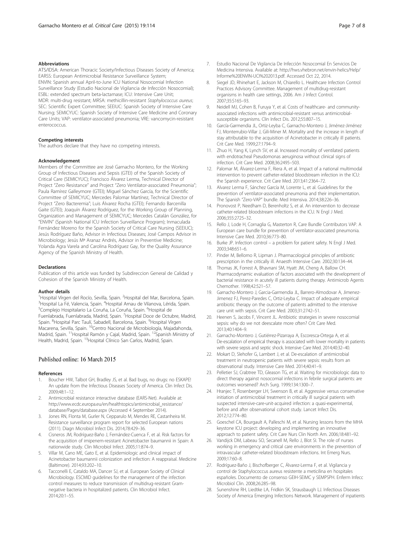#### <span id="page-6-0"></span>**Abbreviations**

ATS/IDSA: American Thoracic Society/Infectious Diseases Society of America; EARSS: European Antimicrobial Resistance Surveillance System; ENVIN: Spanish annual April-to-June ICU National Nosocomial Infection Surveillance Study (Estudio Nacional de Vigilancia de Infección Nosocomial); ESBL: extended spectrum beta-lactamase; ICU: Intensive Care Unit; MDR: multi-drug resistant; MRSA: methicillin-resistant Staphylococcus aureus; SEC: Scientific Expert Committee; SEEIUC: Spanish Society of Intensive Care Nursing; SEMICYUC: Spanish Society of Intensive Care Medicine and Coronary Care Units; VAP: ventilator-associated pneumonia; VRE: vancomycin-resistant enterococcus.

## Competing interests

The authors declare that they have no competing interests.

#### Acknowledgement

Members of the Committee are José Garnacho Montero, for the Working Group of Infectious Diseases and Sepsis (GTEI) of the Spanish Society of Critical Care (SEMICYUC); Francisco Álvarez Lerma, Technical Director of Project "Zero Resistance" and Project "Zero Ventilator-associated Pneumonia"; Paula Ramírez Galleymore (GTEI); Miguel Sánchez García, for the Scientific Committee of SEMICYUC; Mercedes Palomar Martínez, Technical Director of Project "Zero Bacteremia"; Luis Álvarez Rocha (GTEI); Fernando Barcenilla Gaite (GTEI); Joaquín Álvarez Rodríguez, for the Working Group of Planning, Organization and Management of SEMICYUC; Mercedes Catalán González, for "ENVIN" (Spanish National ICU Infection Surveillance Program); Inmaculada Fernández Moreno for the Spanish Society of Critical Care Nursing (SEEIUC); Jesús Rodríguez Baño, Advisor in Infectious Diseases; José Campos Advisor in Microbiology; Jesús Mª Aranaz Andrés, Advisor in Preventive Medicine; Yolanda Agra Varela and Carolina Rodríguez Gay, for the Quality Assurance Agency of the Spanish Ministry of Health.

### **Declarations**

Publication of this article was funded by Subdireccion General de Calidad y Cohesion of the Spanish Ministry of Health.

### Author details

<sup>1</sup>Hospital Vírgen del Rocío, Sevilla, Spain. <sup>2</sup>Hospital del Mar, Barcelona, Spain.<br><sup>3</sup>Hospital La Fé Valencia, Spain. <sup>4</sup>Hospital Arnau de Vilanova, Lérida, Spain. <sup>3</sup>Hospital La Fé, Valencia, Spain. <sup>4</sup>Hospital Arnau de Vilanova, Lérida, Spain.<br><sup>5</sup>Compleio Hospitalario La Coruña La Coruña, Spain. <sup>6</sup>Hospital de Complejo Hospitalario La Coruña, La Coruña, Spain. <sup>6</sup>Hospital de Fuenlabrada, Fuenlabrada, Madrid, Spain. <sup>7</sup>Hospital Doce de Octubre, Madrid, Spain. <sup>8</sup>Hospital Parc Taulí, Sabadell, Barcelona, Spain. <sup>9</sup>Hospital Vírgen Macarena, Sevilla, Spain. 10Centro Nacional de Microbiología, Majadahonda, Madrid, Spain. <sup>11</sup>Hospital Ramón y Cajal, Madrid, Spain. <sup>12</sup>Spanish Ministry of Health, Madrid, Spain. 13Hospital Clínico San Carlos, Madrid, Spain.

## Published online: 16 March 2015

## References

- Boucher HW, Talbot GH, Bradley JS, et al. Bad bugs, no drugs: no ESKAPE! An update from the Infectious Diseases Society of America. Clin Infect Dis. 2009;48:1–12.
- 2. Antimicrobial resistance interactive database (EARS-Net). Available at: [http://www.ecdc.europa.eu/en/healthtopics/antimicrobial\\_resistance/](http://www.ecdc.europa.eu/en/healthtopics/antimicrobial_resistance/database/Pages/database.aspx) [database/Pages/database.aspx](http://www.ecdc.europa.eu/en/healthtopics/antimicrobial_resistance/database/Pages/database.aspx) (Accessed 4 September 2014).
- Jones RN, Flonta M, Gurler N, Cepparulo M, Mendes RE, Castanheira M. Resistance surveillance program report for selected European nations (2011). Diagn Microbiol Infect Dis. 2014;78:429–36.
- 4. Cisneros JM, Rodríguez-Baño J, Fernández-Cuenca F, et al. Risk factors for the acquisition of imipenem-resistant Acinetobacter baumannii in Spain: A nationwide study. Clin Microbiol Infect. 2005;11:874–9.
- 5. Villar M, Cano ME, Gato E, et al. Epidemiologic and clinical impact of Acinetobacter baumannii colonization and infection: A reappraisal. Medicine (Baltimore). 2014;93:202–10.
- 6. Tacconelli E, Cataldo MA, Dancer SJ, et al. European Society of Clinical Microbiology. ESCMID guidelines for the management of the infection control measures to reduce transmission of multidrug-resistant Gramnegative bacteria in hospitalized patients. Clin Microbiol Infect. 2014;20:1–55.
- 7. Estudio Nacional De Vigilancia De Infección Nosocomial En Servicios De Medicina Intensiva. Available at: [http://hws.vhebron.net/envin-helics/Help/](http://hws.vhebron.net/envin-helics/Help/Informe%20ENVIN-UCI%202013.pdf) [Informe%20ENVIN-UCI%202013.pdf.](http://hws.vhebron.net/envin-helics/Help/Informe%20ENVIN-UCI%202013.pdf) Accessed Oct 22, 2014.
- 8. Siegel JD, Rhinehart E, Jackson M, Chiarello L. Healthcare Infection Control Practices Advisory Committee. Management of multidrug-resistant organisms in health care settings, 2006. Am J Infect Control. 2007;35:S165–93.
- Neidell MJ, Cohen B, Furuya Y, et al. Costs of healthcare- and communityassociated infections with antimicrobial-resistant versus antimicrobialsusceptible organisms. Clin Infect Dis. 2012;55:807–15.
- 10. García-Garmendia JL, Ortiz-Leyba C, Garnacho-Montero J, Jiménez-Jiménez FJ, Monterrubio-Villar J, Gili-Miner M. Mortality and the increase in length of stay attributable to the acquisition of Acinetobacter in critically ill patients. Crit Care Med. 1999;27:1794–9.
- 11. Zhuo H, Yang K, Lynch SV, et al. Increased mortality of ventilated patients with endotracheal Pseudomonas aeruginosa without clinical signs of infection. Crit Care Med. 2008;36:2495–503.
- 12. Palomar M, Álvarez-Lerma F, Riera A, et al. Impact of a national multimodal intervention to prevent catheter-related bloodstream infection in the ICU: the Spanish experience. Crit Care Med. 2013;41:2364–72.
- 13. Alvarez Lerma F, Sánchez García M, Lorente L, et al. Guidelines for the prevention of ventilator-associated pneumonia and their implementation. The Spanish "Zero-VAP" bundle. Med Intensiva. 2014;38:226–36.
- 14. Pronovost P, Needham D, Berenholtz S, et al. An intervention to decrease catheter-related bloodstream infections in the ICU. N Engl J Med. 2006;355:2725–32.
- 15. Rello J, Lode H, Cornaglia G, Masterton R, Care Bundle Contributors VAP. A European care bundle for prevention of ventilator-associated pneumonia. Intensive Care Med. 2010;36:773–80.
- 16. Burke JP. Infection control a problem for patient safety. N Engl J Med. 2003;348:651–6.
- 17. Pinder M, Bellomo R, Lipman J. Pharmacological principles of antibiotic prescription in the critically ill. Anaesth Intensive Care. 2002;30:134–44.
- 18. Thomas JK, Forrest A, Bhavnani SM, Hyatt JM, Cheng A, Ballow CH. Pharmacodynamic evaluation of factors associated with the development of bacterial resistance in acutely ill patients during therapy. Antimicrob Agents Chemother. 1998;42:521–57.
- 19. Garnacho-Montero J, Garcia-Garmendia JL, Barrero-Almodovar A, Jimenez-Jimenez FJ, Perez-Paredes C, Ortiz-Leyba C. Impact of adequate empirical antibiotic therapy on the outcome of patients admitted to the intensive care unit with sepsis. Crit Care Med. 2003;31:2742–51.
- 20. Heenen S, Jacobs F, Vincent JL. Antibiotic strategies in severe nosocomial sepsis: why do we not deescalate more often? Crit Care Med. 2013;40:1404–9.
- 21. Garnacho-Montero J, Gutiérrez-Pizarraya A, Escoresca-Ortega A, et al. De-escalation of empirical therapy is associated with lower mortality in patients with severe sepsis and septic shock. Intensive Care Med. 2014;40:32–40.
- 22. Mokart D, Slehofer G, Lambert J, et al. De-escalation of antimicrobial treatment in neutropenic patients with severe sepsis: results from an observational study. Intensive Care Med. 2014;40:41–9.
- 23. Pelletier SJ, Crabtree TD, Gleason TG, et al. Waiting for microbiologic data to direct therapy against nosocomial infections in febrile surgical patients: are outcomes worsened? Arch Surg. 1999;134:1300–7.
- 24. Hranjec T, Rosenberger LH, Swenson B, et al. Aggressive versus conservative initiation of antimicrobial treatment in critically ill surgical patients with suspected intensive-care-unit-acquired infection: a quasi-experimental, before and after observational cohort study. Lancet Infect Dis. 2012;12:774–80.
- 25. Goeschel CA, Bourgault A, Palleschi M, et al. Nursing lessons from the MHA keystone ICU project: developing and implementing an innovative approach to patient safety. Crit Care Nurs Clin North Am. 2006;18:481–92.
- 26. Vandijck DM, Labeau SO, Secanell M, Rello J, Blot SI. The role of nurses working in emergency and critical care environments in the prevention of intravascular catheter-related bloodstream infections. Int Emerg Nurs. 2009;17:60–8.
- 27. Rodríguez-Baño J, Bischofberger C, Álvarez-Lerma F, et al. Vigilancia y control de Staphylococcus aureus resistente a meticilina en hospitales españoles. Documento de consenso GEIH-SEIMC y SEMPSPH. Enferm Infecc Microbiol Clin. 2008;26:285–98.
- 28. Sunenshine RH, Liedtke LA, Fridkin SK, Strausbaugh LJ. Infectious Diseases Society of America Emerging Infections Network. Management of inpatients